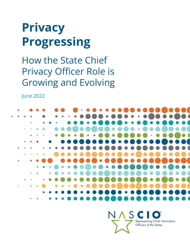# **Privacy Progressing**

How the State Chief Privacy Officer Role is Growing and Evolving

June 2022



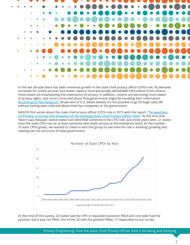

In the last decade there has been immense growth in the state chief privacy officer (CPO) role. As demand increases for online services and states capture more personally identifiable information from citizens, more states are emphasizing the importance of privacy. In addition, citizens are becoming more aware of privacy rights, and more concerned about how government might be handling their information. **According to Pew Research**, 60 percent of U.S. adults believe it's not possible to go through daily life without having data collected about them by companies or the government.

NASCIO first wrote about the state chief privacy officer (CPO) role in 2019 with the report, "**Perspectives on Privacy: A Survey and Snapshot of the Growing State Chief Privacy Officer Role.**" At the time that report was released, twelve states had identified someone in the CPO role. Just three years later, 21 states have the state CPO role (or at least someone who leads privacy at the enterprise level). As the number of state CPOs grows, we wanted to check in with this group to see how the role is evolving, growing and settling into the structure of state government.



At the time of this survey, 20 states had the CPO or equivalent position filled and one state had the position, but it was not filled. Out of the 20 with the position filled, 17 responded to our survey.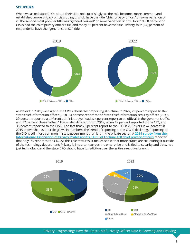#### **Structure**

When we asked state CPOs about their title, not surprisingly, as the role becomes more common and established, more privacy officials doing this job have the title "chief privacy officer" or some variation of it. The second most popular title was "general counsel" or some variation of that. In 2019, 58 percent of CPOs had the chief privacy officer title, and today 65 percent have the title. Twenty-four (24) percent of respondents have the "general counsel" title.



As we did in 2019, we asked state CPOs about their reporting structure. In 2022, 29 percent report to the state chief information officer (CIO), 24 percent report to the state chief information security officer (CISO), 29 percent report to a different administrative head, six percent report to an official in the governor's office and 12 percent chose "other." This is also different from 2019, when 42 percent reported to the CIO, and 33 percent reported to the CISO. The fact that 29 percent report to the CIO in 2022 versus 42 percent in 2019 shows that as the role grows in numbers, the trend of reporting to the CIO is declining. Reporting to the CIO is still more common in state government than it is in the private sector. A **2014 survey from the International Association of Privacy Professionals (IAPP) of Fortune 100 chief privacy officers** reported that only 3% report to the CIO. As this role matures, it makes sense that more states are structuring it outside of the technology department. Privacy is important across the enterprise and is tied to security and data, not just technology, and the state CPO should have jurisdiction over the entire executive branch.



Privacy Progressing: How the State Chief Privacy Officer Role is Growing and Evolving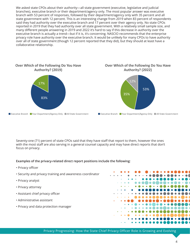We asked state CPOs about their authority—all state government (executive, legislative and judicial branches), executive branch or their department/agency only. The most popular answer was executive branch with 53 percent of responses, followed by their department/agency only with 35 percent and all state government with 12 percent. This is an interesting change from 2019 when 83 percent of respondents said they had authority over the executive branch and 17 percent over their agency only. No state CPOs reported in 2019 that they had authority over all state government. With a relatively small sample size, and many different people answering in 2019 and 2022 it's hard to say if this decrease in authority over the executive branch is actually a trend—but if it is, it's concerning. NASCIO recommends that the enterprise privacy role have authority over the executive branch. It would be unlikely for many CPOs to have authority over all of state government (though 12 percent reported that they did), but they should at least have a collaborative relationship.







Executive Branch Your Department/Agency Only All State Government

Seventy-one (71) percent of state CPOs said that they have staff that report to them, however the ones with the most staff are also serving in a general counsel capacity and may have direct reports that don't focus on privacy.

#### **Examples of the privacy-related direct report positions include the following:**

- Privacy officer
- Security and privacy training and awareness coordinator
- Privacy analyst
- Privacy attorney
- Assistant chief privacy officer
- Administrative assistant
- Privacy and data protection manager



Privacy Progressing: How the State Chief Privacy Officer Role is Growing and Evolving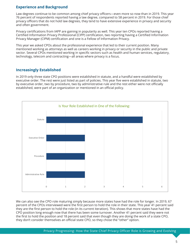# **Experience and Background**

Law degrees continue to be common among chief privacy officers—even more so now than in 2019. This year 76 percent of respondents reported having a law degree, compared to 58 percent in 2019. For those chief privacy officers that do not hold law degrees, they tend to have extensive experience in privacy and security and often government.

Privacy certifications from IAPP are gaining in popularity as well. This year ten CPOs reported having a Certified Information Privacy Professional (CIPP) certification, two reporting having a Certified Information Privacy Manager (CIPM) certification and one is a Fellow of Information Privacy.

This year we asked CPOs about the professional experience that led to their current position. Many mentioned working as attorneys as well as careers working in privacy or security in the public and private sector. Several CPOs mentioned working in specific sectors such as health and human services, regulatory, technology, telecom and contracting—all areas where privacy is a focus.

# **Increasingly Established**

In 2019 only three state CPO positions were established in statute, and a handful were established by executive order. The rest were just listed as part of policies. This year five were established in statute, two by executive order, two by procedure, two by administrative rule and the rest either were not officially established, were part of an organization or mentioned in an official policy.



We can also see the CPO role maturing simply because more states have had the role for longer. In 2019, 67 percent of the CPOs interviewed were the first person to hold the role in their state. This year 41 percent said they are the first person to hold the role (in its current iteration). This shows that more states have had the CPO position long enough now that there has been some turnover. Another 41 percent said they were not the first to hold the position and 18 percent said that even though they are doing the work of a state CPO, they don't consider themselves an official state CPO, so they chose the "other" option.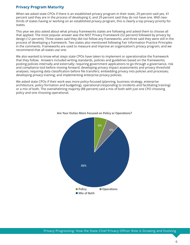## **Privacy Program Maturity**

When we asked state CPOs if there is an established privacy program in their state, 29 percent said yes, 41 percent said they are in the process of developing it, and 29 percent said they do not have one. With twothirds of states having or working on an established privacy program, this is clearly a top privacy priority for states.

This year we also asked about what privacy frameworks states are following and asked them to choose all that applied. The most popular answer was the NIST Privacy Framework (52 percent) followed by privacy by design (12 percent). Three states said they did not follow any frameworks, and three said they were still in the process of developing a framework. Two states also mentioned following Fair Information Practice Principles in the comments. Frameworks are used to measure and improve an organization's privacy program, and we recommend that all states use one.

We also wanted to know what steps state CPOs have taken to implement or operationalize the framework that they follow. Answers included writing standards, policies and guidelines based on the frameworks; posting policies internally and externally; requiring government applications to go through a governance, risk and compliance tool before moving forward; developing privacy impact assessments and privacy threshold analyses; requiring data classification before file transfers; embedding privacy into policies and processes; developing privacy training; and implementing enterprise privacy policies.

We asked state CPOs if their work was more policy-focused (planning, business strategy, enterprise architecture, policy formation and budgeting), operational (responding to incidents and facilitating training) or a mix of both. The overwhelming majority (88 percent) said a mix of both with just one CPO choosing policy and one choosing operational.



#### **Are Your Duties More Focused on Policy or Operations?**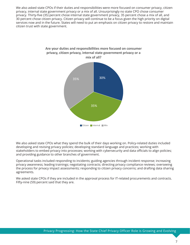We also asked state CPOs if their duties and responsibilities were more focused on consumer privacy, citizen privacy, internal state government privacy or a mix of all. Unsurprisingly no state CPO chose consumer privacy. Thirty-five (35) percent chose internal state government privacy, 35 percent chose a mix of all, and 30 percent chose citizen privacy. Citizen privacy will continue to be a focus given the high priority on digital services now and in the future. States will need to put an emphasis on citizen privacy to restore and maintain citizen trust with state government.



We also asked state CPOs what they spend the bulk of their days working on. Policy-related duties included developing and revising privacy policies; developing standard language and practices; working with stakeholders to embed privacy into processes; working with cybersecurity and data officials to align policies; and providing guidance to other branches of government.

Operational tasks included responding to incidents; guiding agencies through incident response; increasing privacy awareness; leading trainings; negotiating contracts; directing privacy compliance reviews; overseeing the process for privacy impact assessments; responding to citizen privacy concerns; and drafting data sharing agreements.

We asked state CPOs if they are included in the approval process for IT-related procurements and contracts. Fifty-nine (59) percent said that they are.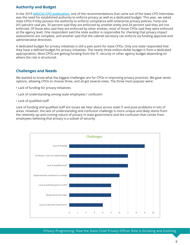# **Authority and Budget**

In the 2019 **NASCIO CPO publication**, one of the recommendations that came out of the state CPO interviews was the need for established authority to enforce privacy as well as a dedicated budget. This year, we asked state CPOs if they possess the authority to enforce compliance with enterprise privacy policies. Forty-one (41) percent said yes, 35 percent said they are enforced by another entity and 24 percent said they are not enforced. Of those who said they are enforced by other entities, most of those CPOs said they were enforced at the agency level. One respondent said the state auditor is responsible for checking that privacy impact assessments are complete, and another said that the cabinet secretary can enforce via funding approval and administrative directives.

A dedicated budget for privacy initiatives is still a pain point for state CPOs. Only one state responded that they have a defined budget for privacy initiatives. The nearly three-million-dollar budget is from a dedicated appropriation. Most CPOs are getting funding from the IT, security or other agency budget depending on where the role is structured.

# **Challenges and Needs**

We wanted to know what the biggest challenges are for CPOs in improving privacy practices. We gave seven options, allowing CPOs to choose three, and all got several votes. The three most popular were:

- Lack of funding for privacy initiatives
- Lack of understanding among state employees / confusion
- Lack of qualified staff

Lack of funding and qualified staff are issues we hear about across state IT and pose problems in lots of areas. However, the lack of understanding and confusion challenge is more unique and likely stems from the relatively up-and-coming nature of privacy in state government and the confusion that comes from employees believing that privacy is a subset of security.

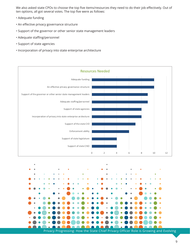We also asked state CPOs to choose the top five items/resources they need to do their job effectively. Out of ten options, all got several votes. The top five were as follows:

- Adequate funding
- An effective privacy governance structure
- Support of the governor or other senior state management leaders
- Adequate staffing/personnel
- Support of state agencies
- Incorporation of privacy into state enterprise architecture



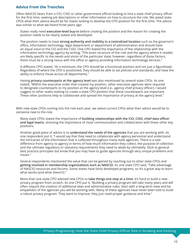## **Advice From the Trenches**

Often NASCIO hears from a CIO, CISO or other government official looking to hire a state chief privacy officer for the first time, seeking job descriptions or other information on how to structure the role. We asked state CPOs what their advice would be for states looking to develop the CPO position for the first time. The advice was similar to what we heard three years ago:

States really need **executive-level buy-in** before creating the position and the reason for creating the position needs to be clearly stated and developed.

The position needs to have **strong authority and visibility in a centralized location** such as the governor's office, information technology, legal department or department of administration and should have an equal voice to the CIO and the CISO. One CPO stated the importance of the relationship with the information technology agency by writing, "The exact structure of the role and the agency where it resides are likely specific to the needs and vision of the particular state; however, regardless of those factors, there must be a strong nexus with the office or agency providing information technology services."

A different CPO stated, "At a minimum, the CPO should be a functional position and not just a figurehead. Regardless of where the CPO is positioned, they should be able to set policies and standards, and have the ability to enforce those across all departments."

Having **privacy counterparts at the agency level** was also mentioned by several state CPOs. As one stated, "Within the executive order that created my position, other executive agencies were required to designate counterparts to my position at the agency level (i.e., agency chief privacy officer). I would suggest to other states looking to create a state CPO position that these counterparts are important. These other positions help to collaborate and spread the importance of privacy at the agency level."

With new state CPOs coming into the role each year, we asked current CPOs what their advice would be to someone new to the role.

Many state CPOs stated the importance of **building relationships with the CIO, CISO, chief data officer and legal teams**, stressing the importance of close communication and collaboration with these other key positions.

Another good piece of advice is to **understand the needs of the agencies** that you are working with. As one respondent put it, "I would say that they need to collaborate with agency personnel and understand the intricacies of the information that is collected throughout many state agencies. There is a vast difference from agency to agency in terms of how much information they collect, the purpose of collection and the ultimate regulatory or statutory requirements they need to abide by ultimately. Stick to general best practice principles but know that you may have to guide agencies through very unique problems and issues."

Several respondents mentioned the value that can be gained by reaching out to other state CPOs and **getting involved in membership organizations such as NASCIO**. As one state CPO said, "Take advantage of NASCIO resources and forums. Some states have fairly developed programs, so it's a great way to learn what works (and what doesn't)."

More than one state CPO advised new CPOs to **take things one step at a time**. It's hard to build a new privacy program from scratch. As one CPO put it, "Building a privacy program will take many years and will often require the creation of additional laws and administrative rules. Start with a long-term view and be empathetic of the agencies you will be working with. Many of these agencies have never been told to build a robust privacy program. They want to improve; they just need proper guidance and time."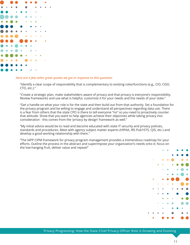

#### *Here are a few other great quotes we got in response to this question:*

"Identify a clear scope of responsibility that is complementary to existing roles/functions (e.g., CIO, CISO, CTO, etc.)."

"Create a strategic plan, make stakeholders aware of privacy and that privacy is everyone's responsibility. Review frameworks and use what is helpful, customize it for your needs and the needs of your state."

"Get a handle on what your role is for the state and then build out from that authority. Set a foundation for the privacy program and be willing to engage and understand all perspectives regarding data use. There is a fear from others that the state CPO is there to tell everyone "no" so you need to proactively counter that attitude. Show that you want to help agencies achieve their objectives while taking privacy into consideration - this comes from the 'privacy by design' framework as well."

"My initial advice would be to read and become educated with state IT security and privacy policies, standards and procedures. Meet with agency subject matter experts (HIPAA, IRS Pub1075, CJIS, etc.) and develop a good working relationship with them."

"The IAPP CIPM framework for privacy program management provides a tremendous roadmap for your efforts. Outline the process in the abstract and superimpose your organization's needs onto it; focus on the low-hanging fruit, deliver value and repeat!"

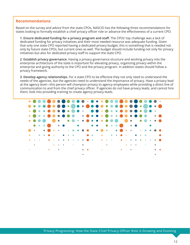# **Recommendations**

Based on the survey and advice from the state CPOs, NASCIO has the following three recommendations for states looking to formally establish a chief privacy officer role or advance the effectiveness of a current CPO:

**1. Ensure dedicated funding for a privacy program and staff.** The CPOs' top challenge was a lack of dedicated funding for privacy initiatives and their most needed resource was adequate funding. Given that only one state CPO reported having a dedicated privacy budget, this is something that is needed not only by future state CPOs, but current ones as well. The budget should include funding not only for privacy initiatives but also for dedicated privacy staff to support the state CPO.

**2. Establish privacy governance**. Having a privacy governance structure and working privacy into the enterprise architecture of the state is important for elevating privacy, organizing privacy within the enterprise and giving authority to the CPO and the privacy program. In addition states should follow a privacy framework.

**3. Develop agency relationships**. For a state CPO to be effective they not only need to understand the needs of the agencies, but the agencies need to understand the importance of privacy. Have a privacy lead at the agency level—this person will champion privacy to agency employees while providing a direct line of communication to and from the chief privacy officer. If agencies do not have privacy leads, and cannot hire them, look into providing training to create agency privacy leads.